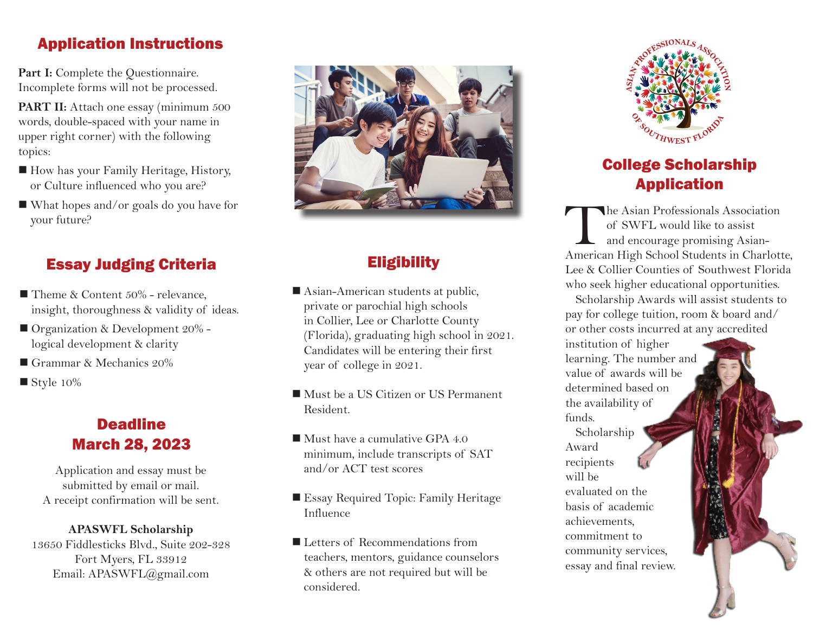## Application Instructions

Part I: Complete the Questionnaire. Incomplete forms will not be processed.

**PART II:** Attach one essay (minimum 500 words, double-spaced with your name in upper right corner) with the following topics:

- How has your Family Heritage, History, or Culture influenced who you are?
- $\blacksquare$  What hopes and/or goals do you have for your future?

# Essay Judging Criteria

- Theme & Content  $50\%$  relevance, insight, thoroughness & validity of ideas.
- Organization & Development 20% logical development & clarity
- Grammar & Mechanics  $20\%$
- $\blacksquare$  Style 10%

# **Deadline** March 28, 2023

Application and essay must be submitted by email or mail. A receipt confirmation will be sent.

#### **APASWFL Scholarship**

13650 Fiddlesticks Blvd., Suite 202-328 Fort Myers, FL 33912 Email: APASWFL@gmail.com



# **Eligibility**

- $\blacksquare$  Asian-American students at public, private or parochial high schools in Collier, Lee or Charlotte County (Florida), graduating high school in 2021. Candidates will be entering their first year of college in 2021.
- Must be a US Citizen or US Permanent Resident.
- $\blacksquare$  Must have a cumulative GPA 4.0 minimum, include transcripts of SAT and/or ACT test scores
- Essay Required Topic: Family Heritage Influence
- Letters of Recommendations from teachers, mentors, guidance counselors & others are not required but will be considered.



# College Scholarship Application

The Asian Professionals Association of SWFL would like to assist and encourage promising Asian-American High School Students in Charlotte, Lee & Collier Counties of Southwest Florida who seek higher educational opportunities.

Scholarship Awards will assist students to pay for college tuition, room & board and/ or other costs incurred at any accredited

institution of higher learning. The number and value of awards will be determined based on the availability of funds.

Scholarship Award recipients will be evaluated on the basis of academic achievements, commitment to community services, essay and final review.